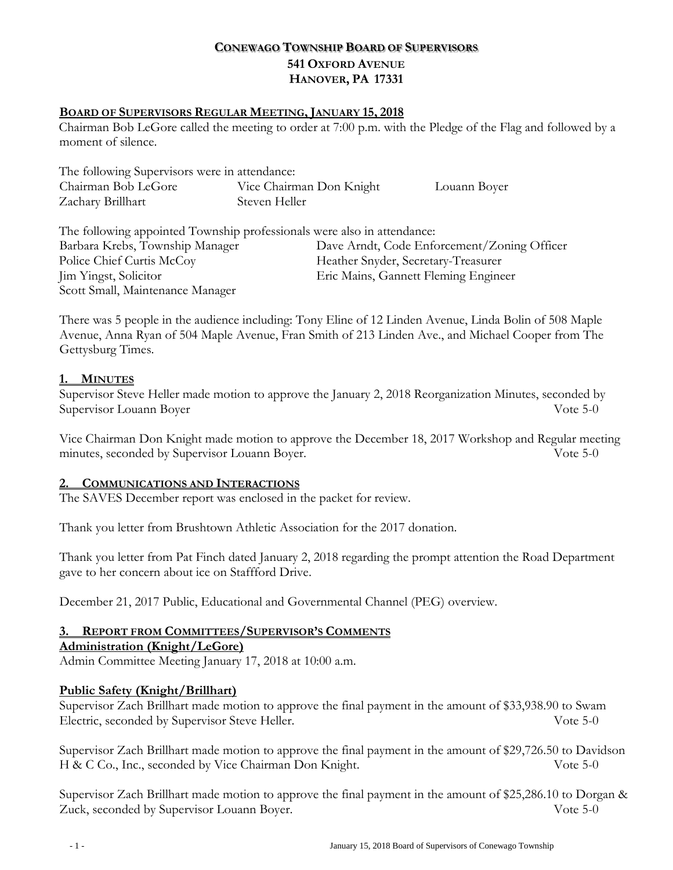# **CONEWAGO TOWNSHIP BOARD OF SUPERVISORS 541 OXFORD AVENUE HANOVER, PA 17331**

#### **BOARD OF SUPERVISORS REGULAR MEETING, JANUARY 15, 2018**

Chairman Bob LeGore called the meeting to order at 7:00 p.m. with the Pledge of the Flag and followed by a moment of silence.

| The following Supervisors were in attendance: |                          |              |
|-----------------------------------------------|--------------------------|--------------|
| Chairman Bob LeGore                           | Vice Chairman Don Knight | Louann Boyer |
| Zachary Brillhart                             | Steven Heller            |              |

The following appointed Township professionals were also in attendance: Barbara Krebs, Township Manager Dave Arndt, Code Enforcement/Zoning Officer Police Chief Curtis McCoy Feather Snyder, Secretary-Treasurer Jim Yingst, Solicitor Eric Mains, Gannett Fleming Engineer Scott Small, Maintenance Manager

There was 5 people in the audience including: Tony Eline of 12 Linden Avenue, Linda Bolin of 508 Maple Avenue, Anna Ryan of 504 Maple Avenue, Fran Smith of 213 Linden Ave., and Michael Cooper from The Gettysburg Times.

### **1. MINUTES**

Supervisor Steve Heller made motion to approve the January 2, 2018 Reorganization Minutes, seconded by Supervisor Louann Boyer Vote 5-0

Vice Chairman Don Knight made motion to approve the December 18, 2017 Workshop and Regular meeting minutes, seconded by Supervisor Louann Boyer. Vote 5-0

#### **2. COMMUNICATIONS AND INTERACTIONS**

The SAVES December report was enclosed in the packet for review.

Thank you letter from Brushtown Athletic Association for the 2017 donation.

Thank you letter from Pat Finch dated January 2, 2018 regarding the prompt attention the Road Department gave to her concern about ice on Staffford Drive.

December 21, 2017 Public, Educational and Governmental Channel (PEG) overview.

## **3. REPORT FROM COMMITTEES/SUPERVISOR'S COMMENTS**

#### **Administration (Knight/LeGore)**

Admin Committee Meeting January 17, 2018 at 10:00 a.m.

#### **Public Safety (Knight/Brillhart)**

Supervisor Zach Brillhart made motion to approve the final payment in the amount of \$33,938.90 to Swam Electric, seconded by Supervisor Steve Heller. Vote 5-0

Supervisor Zach Brillhart made motion to approve the final payment in the amount of \$29,726.50 to Davidson H & C Co., Inc., seconded by Vice Chairman Don Knight. Vote 5-0

Supervisor Zach Brillhart made motion to approve the final payment in the amount of \$25,286.10 to Dorgan & Zuck, seconded by Supervisor Louann Boyer. Vote 5-0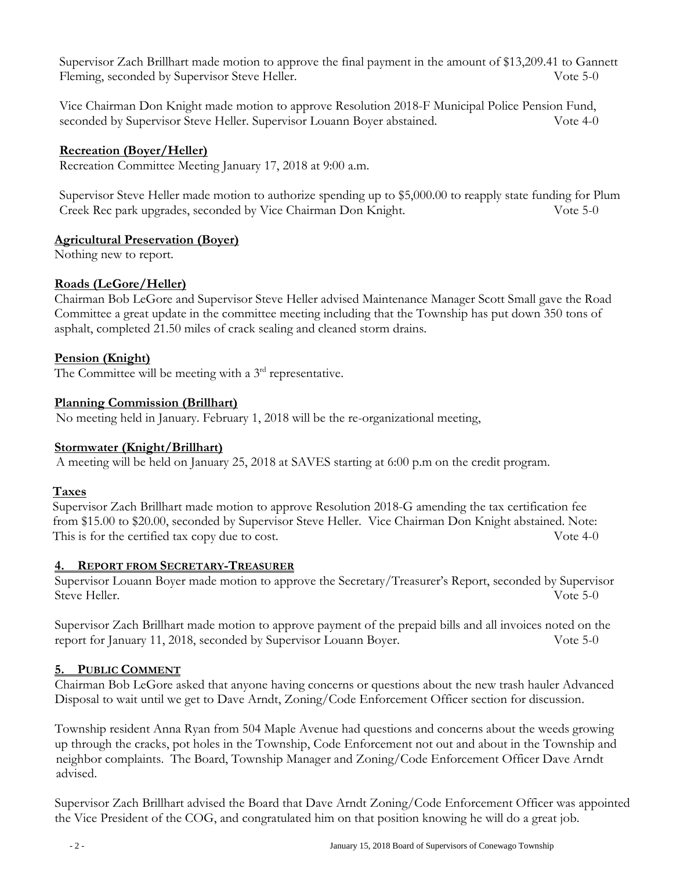Supervisor Zach Brillhart made motion to approve the final payment in the amount of \$13,209.41 to Gannett Fleming, seconded by Supervisor Steve Heller. Vote 5-0

Vice Chairman Don Knight made motion to approve Resolution 2018-F Municipal Police Pension Fund, seconded by Supervisor Steve Heller. Supervisor Louann Boyer abstained. Vote 4-0

## **Recreation (Boyer/Heller)**

Recreation Committee Meeting January 17, 2018 at 9:00 a.m.

Supervisor Steve Heller made motion to authorize spending up to \$5,000.00 to reapply state funding for Plum Creek Rec park upgrades, seconded by Vice Chairman Don Knight. Vote 5-0

### **Agricultural Preservation (Boyer)**

Nothing new to report.

## **Roads (LeGore/Heller)**

Chairman Bob LeGore and Supervisor Steve Heller advised Maintenance Manager Scott Small gave the Road Committee a great update in the committee meeting including that the Township has put down 350 tons of asphalt, completed 21.50 miles of crack sealing and cleaned storm drains.

## **Pension (Knight)**

The Committee will be meeting with a  $3<sup>rd</sup>$  representative.

## **Planning Commission (Brillhart)**

No meeting held in January. February 1, 2018 will be the re-organizational meeting,

## **Stormwater (Knight/Brillhart)**

A meeting will be held on January 25, 2018 at SAVES starting at 6:00 p.m on the credit program.

## **Taxes**

 Supervisor Zach Brillhart made motion to approve Resolution 2018-G amending the tax certification fee from \$15.00 to \$20.00, seconded by Supervisor Steve Heller. Vice Chairman Don Knight abstained. Note: This is for the certified tax copy due to cost. Vote 4-0

## **4. REPORT FROM SECRETARY-TREASURER**

Supervisor Louann Boyer made motion to approve the Secretary/Treasurer's Report, seconded by Supervisor Steve Heller. Vote 5-0

Supervisor Zach Brillhart made motion to approve payment of the prepaid bills and all invoices noted on the report for January 11, 2018, seconded by Supervisor Louann Boyer. Vote 5-0

## **5. PUBLIC COMMENT**

Chairman Bob LeGore asked that anyone having concerns or questions about the new trash hauler Advanced Disposal to wait until we get to Dave Arndt, Zoning/Code Enforcement Officer section for discussion.

Township resident Anna Ryan from 504 Maple Avenue had questions and concerns about the weeds growing up through the cracks, pot holes in the Township, Code Enforcement not out and about in the Township and neighbor complaints. The Board, Township Manager and Zoning/Code Enforcement Officer Dave Arndt advised.

Supervisor Zach Brillhart advised the Board that Dave Arndt Zoning/Code Enforcement Officer was appointed the Vice President of the COG, and congratulated him on that position knowing he will do a great job.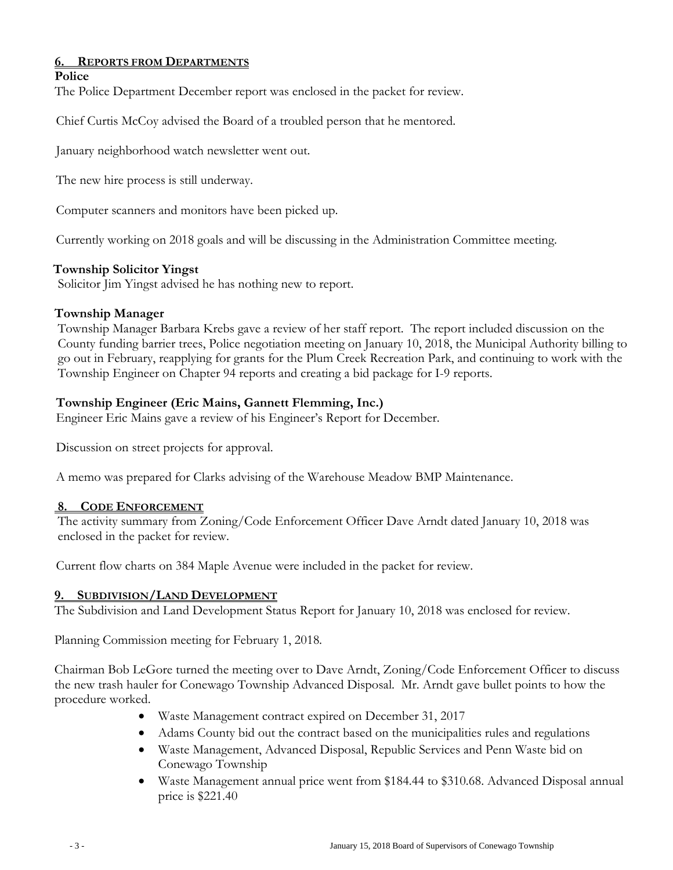### **6. REPORTS FROM DEPARTMENTS**

#### **Police**

The Police Department December report was enclosed in the packet for review.

Chief Curtis McCoy advised the Board of a troubled person that he mentored.

January neighborhood watch newsletter went out.

The new hire process is still underway.

Computer scanners and monitors have been picked up.

Currently working on 2018 goals and will be discussing in the Administration Committee meeting.

### **Township Solicitor Yingst**

Solicitor Jim Yingst advised he has nothing new to report.

#### **Township Manager**

Township Manager Barbara Krebs gave a review of her staff report. The report included discussion on the County funding barrier trees, Police negotiation meeting on January 10, 2018, the Municipal Authority billing to go out in February, reapplying for grants for the Plum Creek Recreation Park, and continuing to work with the Township Engineer on Chapter 94 reports and creating a bid package for I-9 reports.

### **Township Engineer (Eric Mains, Gannett Flemming, Inc.)**

Engineer Eric Mains gave a review of his Engineer's Report for December.

Discussion on street projects for approval.

A memo was prepared for Clarks advising of the Warehouse Meadow BMP Maintenance.

#### **8. CODE ENFORCEMENT**

The activity summary from Zoning/Code Enforcement Officer Dave Arndt dated January 10, 2018 was enclosed in the packet for review.

Current flow charts on 384 Maple Avenue were included in the packet for review.

## **9. SUBDIVISION/LAND DEVELOPMENT**

The Subdivision and Land Development Status Report for January 10, 2018 was enclosed for review.

Planning Commission meeting for February 1, 2018.

Chairman Bob LeGore turned the meeting over to Dave Arndt, Zoning/Code Enforcement Officer to discuss the new trash hauler for Conewago Township Advanced Disposal. Mr. Arndt gave bullet points to how the procedure worked.

- Waste Management contract expired on December 31, 2017
- Adams County bid out the contract based on the municipalities rules and regulations
- Waste Management, Advanced Disposal, Republic Services and Penn Waste bid on Conewago Township
- Waste Management annual price went from \$184.44 to \$310.68. Advanced Disposal annual price is \$221.40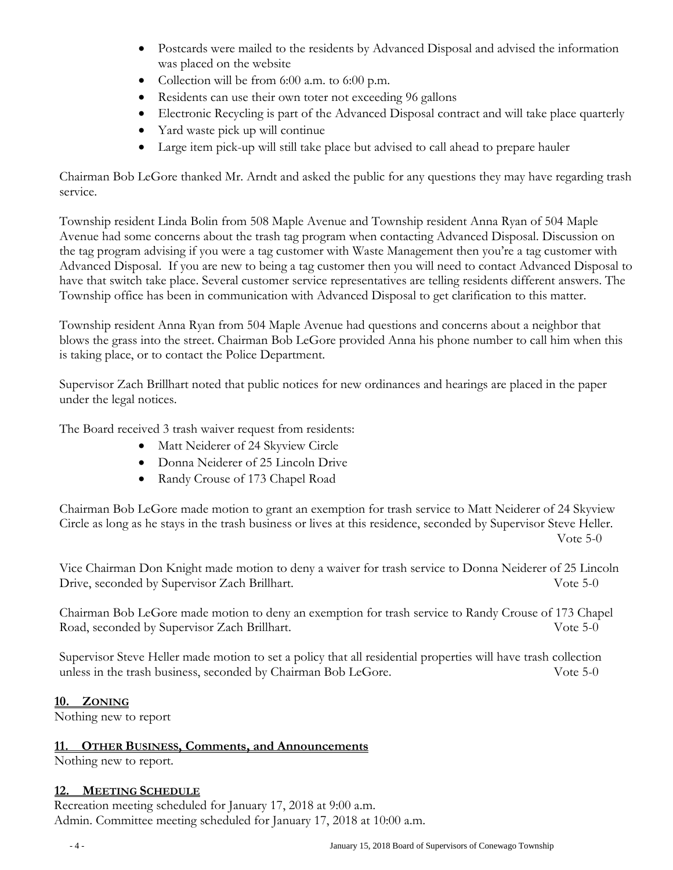- Postcards were mailed to the residents by Advanced Disposal and advised the information was placed on the website
- Collection will be from 6:00 a.m. to 6:00 p.m.
- Residents can use their own toter not exceeding 96 gallons
- Electronic Recycling is part of the Advanced Disposal contract and will take place quarterly
- Yard waste pick up will continue
- Large item pick-up will still take place but advised to call ahead to prepare hauler

Chairman Bob LeGore thanked Mr. Arndt and asked the public for any questions they may have regarding trash service.

Township resident Linda Bolin from 508 Maple Avenue and Township resident Anna Ryan of 504 Maple Avenue had some concerns about the trash tag program when contacting Advanced Disposal. Discussion on the tag program advising if you were a tag customer with Waste Management then you're a tag customer with Advanced Disposal. If you are new to being a tag customer then you will need to contact Advanced Disposal to have that switch take place. Several customer service representatives are telling residents different answers. The Township office has been in communication with Advanced Disposal to get clarification to this matter.

Township resident Anna Ryan from 504 Maple Avenue had questions and concerns about a neighbor that blows the grass into the street. Chairman Bob LeGore provided Anna his phone number to call him when this is taking place, or to contact the Police Department.

Supervisor Zach Brillhart noted that public notices for new ordinances and hearings are placed in the paper under the legal notices.

The Board received 3 trash waiver request from residents:

- Matt Neiderer of 24 Skyview Circle
- Donna Neiderer of 25 Lincoln Drive
- Randy Crouse of 173 Chapel Road

Chairman Bob LeGore made motion to grant an exemption for trash service to Matt Neiderer of 24 Skyview Circle as long as he stays in the trash business or lives at this residence, seconded by Supervisor Steve Heller. Vote 5-0

Vice Chairman Don Knight made motion to deny a waiver for trash service to Donna Neiderer of 25 Lincoln Drive, seconded by Supervisor Zach Brillhart. Vote 5-0

Chairman Bob LeGore made motion to deny an exemption for trash service to Randy Crouse of 173 Chapel Road, seconded by Supervisor Zach Brillhart. Vote 5-0

Supervisor Steve Heller made motion to set a policy that all residential properties will have trash collection unless in the trash business, seconded by Chairman Bob LeGore. Vote 5-0

## **10. ZONING**

Nothing new to report

#### **11. OTHER BUSINESS, Comments, and Announcements**

Nothing new to report.

#### **12. MEETING SCHEDULE**

Recreation meeting scheduled for January 17, 2018 at 9:00 a.m. Admin. Committee meeting scheduled for January 17, 2018 at 10:00 a.m.